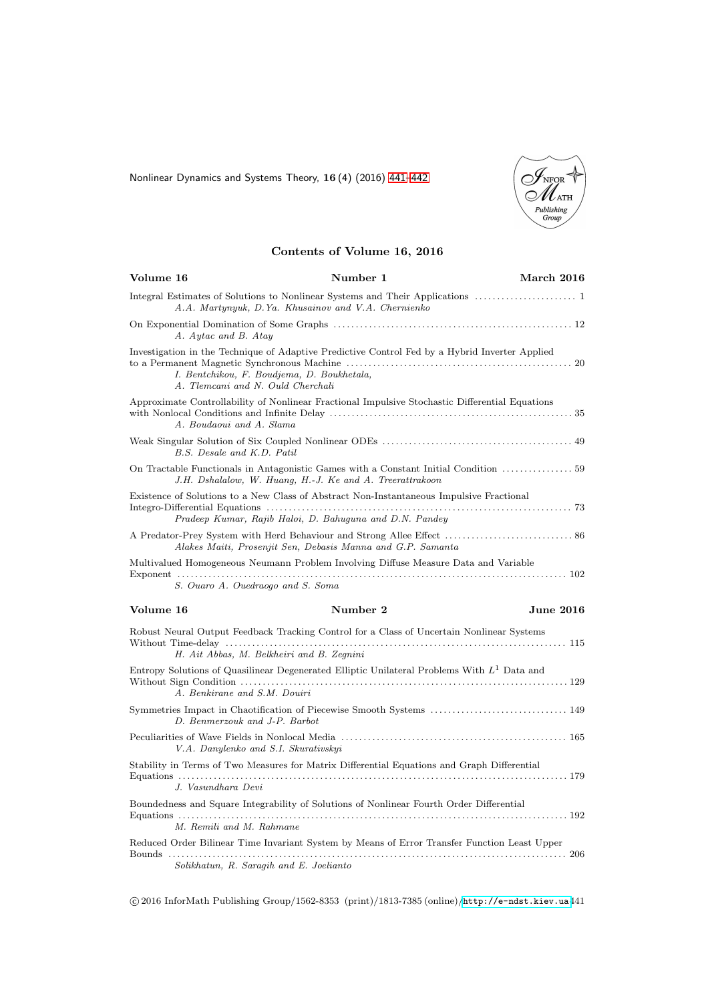<span id="page-0-0"></span>Nonlinear Dynamics and Systems Theory, 16 (4) (2016) [441–442](#page-0-0)



## Contents of Volume 16, 2016

| Volume 16                            | Number 1                                                                                                                                            | March 2016       |
|--------------------------------------|-----------------------------------------------------------------------------------------------------------------------------------------------------|------------------|
|                                      | A.A. Martynyuk, D.Ya. Khusainov and V.A. Chernienko                                                                                                 |                  |
| A. Aytac and B. Atay                 |                                                                                                                                                     |                  |
| A. Tlemcani and N. Ould Cherchali    | Investigation in the Technique of Adaptive Predictive Control Fed by a Hybrid Inverter Applied<br>I. Bentchikou, F. Boudjema, D. Boukhetala,        |                  |
| A. Boudaoui and A. Slama             | Approximate Controllability of Nonlinear Fractional Impulsive Stochastic Differential Equations                                                     |                  |
| B.S. Desale and K.D. Patil           |                                                                                                                                                     |                  |
|                                      | On Tractable Functionals in Antagonistic Games with a Constant Initial Condition  59<br>J.H. Dshalalow, W. Huang, H.-J. Ke and A. Treerattrakoon    |                  |
|                                      | Existence of Solutions to a New Class of Abstract Non-Instantaneous Impulsive Fractional<br>Pradeep Kumar, Rajib Haloi, D. Bahuguna and D.N. Pandey |                  |
|                                      | Alakes Maiti, Prosenjit Sen, Debasis Manna and G.P. Samanta                                                                                         |                  |
|                                      | Multivalued Homogeneous Neumann Problem Involving Diffuse Measure Data and Variable                                                                 |                  |
| S. Ouaro A. Ouedraogo and S. Soma    |                                                                                                                                                     |                  |
| Volume 16                            | Number 2                                                                                                                                            | <b>June 2016</b> |
|                                      | Robust Neural Output Feedback Tracking Control for a Class of Uncertain Nonlinear Systems<br>H. Ait Abbas, M. Belkheiri and B. Zegnini              |                  |
| A. Benkirane and S.M. Douiri         | Entropy Solutions of Quasilinear Degenerated Elliptic Unilateral Problems With $L1$ Data and                                                        |                  |
| D. Benmerzouk and J-P. Barbot        | Symmetries Impact in Chaotification of Piecewise Smooth Systems  149                                                                                |                  |
| V.A. Danylenko and S.I. Skurativskyi |                                                                                                                                                     |                  |
| J. Vasundhara Devi                   | Stability in Terms of Two Measures for Matrix Differential Equations and Graph Differential                                                         |                  |
|                                      | Boundedness and Square Integrability of Solutions of Nonlinear Fourth Order Differential                                                            |                  |
| M. Remili and M. Rahmane             |                                                                                                                                                     |                  |
|                                      | Reduced Order Bilinear Time Invariant System by Means of Error Transfer Function Least Upper                                                        |                  |
|                                      | Solikhatun, R. Saragih and E. Joelianto                                                                                                             |                  |

c 2016 InforMath Publishing Group/1562-8353 (print)/1813-7385 (online)/<http://e-ndst.kiev.ua>441